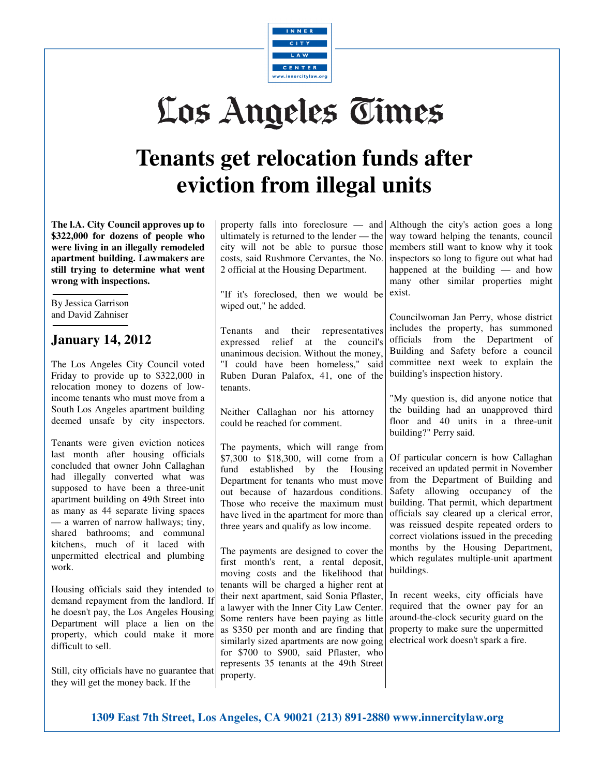

## Los Angeles Times

## **Tenants get relocation funds after eviction from illegal units**

**The l.A. City Council approves up to \$322,000 for dozens of people who were living in an illegally remodeled apartment building. Lawmakers are still trying to determine what went wrong with inspections.** 

By Jessica Garrison and David Zahniser

## **January 14, 2012**

The Los Angeles City Council voted Friday to provide up to \$322,000 in relocation money to dozens of lowincome tenants who must move from a South Los Angeles apartment building deemed unsafe by city inspectors.

Tenants were given eviction notices last month after housing officials concluded that owner John Callaghan had illegally converted what was supposed to have been a three-unit apartment building on 49th Street into as many as 44 separate living spaces — a warren of narrow hallways; tiny, shared bathrooms; and communal kitchens, much of it laced with unpermitted electrical and plumbing work.

Housing officials said they intended to demand repayment from the landlord. If he doesn't pay, the Los Angeles Housing Department will place a lien on the property, which could make it more difficult to sell.

Still, city officials have no guarantee that they will get the money back. If the

property falls into foreclosure — and Although the city's action goes a long ultimately is returned to the lender — the city will not be able to pursue those costs, said Rushmore Cervantes, the No. 2 official at the Housing Department.

"If it's foreclosed, then we would be wiped out," he added.

Tenants and their representatives expressed relief at the council's unanimous decision. Without the money, "I could have been homeless," said Ruben Duran Palafox, 41, one of the tenants.

Neither Callaghan nor his attorney could be reached for comment.

The payments, which will range from \$7,300 to \$18,300, will come from a fund established by the Housing received an updated permit in November Department for tenants who must move out because of hazardous conditions. Those who receive the maximum must have lived in the apartment for more than three years and qualify as low income.

The payments are designed to cover the first month's rent, a rental deposit, moving costs and the likelihood that tenants will be charged a higher rent at their next apartment, said Sonia Pflaster, a lawyer with the Inner City Law Center. Some renters have been paying as little as \$350 per month and are finding that similarly sized apartments are now going for \$700 to \$900, said Pflaster, who represents 35 tenants at the 49th Street property.

way toward helping the tenants, council members still want to know why it took inspectors so long to figure out what had happened at the building — and how many other similar properties might exist.

Councilwoman Jan Perry, whose district includes the property, has summoned officials from the Department of Building and Safety before a council committee next week to explain the building's inspection history.

"My question is, did anyone notice that the building had an unapproved third floor and 40 units in a three-unit building?" Perry said.

Of particular concern is how Callaghan from the Department of Building and Safety allowing occupancy of the building. That permit, which department officials say cleared up a clerical error, was reissued despite repeated orders to correct violations issued in the preceding months by the Housing Department, which regulates multiple-unit apartment buildings.

In recent weeks, city officials have required that the owner pay for an around-the-clock security guard on the property to make sure the unpermitted electrical work doesn't spark a fire.

**1309 East 7th Street, Los Angeles, CA 90021 (213) 891-2880 www.innercitylaw.org**